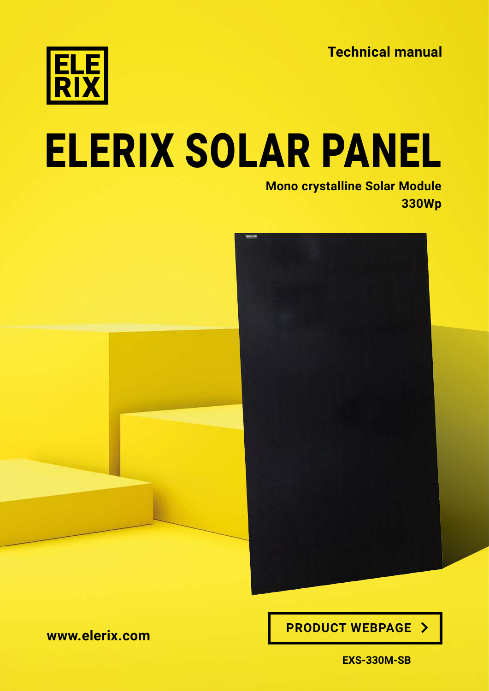**Technical manual**



# [ELERIX SOLAR PANEL](https://shop.gwl.eu/_d7761.html)

**[Mono crystalline Solar Module](https://shop.gwl.eu/_d7761.html) 330Wp**



**[www.elerix.com](https://elerix.com) [PRODUCT WEBPAGE](https://shop.gwl.eu/_d7761.html)** 

**EXS-330M-SB**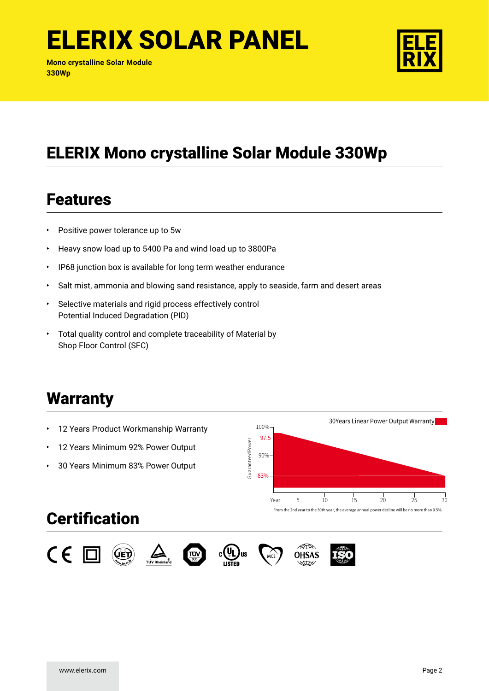**Mono crystalline Solar Module 330Wp**



#### ELERIX Mono crystalline Solar Module 330Wp

#### Features

- Positive power tolerance up to 5w
- Heavy snow load up to 5400 Pa and wind load up to 3800Pa
- IP68 junction box is available for long term weather endurance
- Salt mist, ammonia and blowing sand resistance, apply to seaside, farm and desert areas
- Selective materials and rigid process effectively control Potential Induced Degradation (PID)
- Total quality control and complete traceability of Material by Shop Floor Control (SFC)

#### **Warranty**

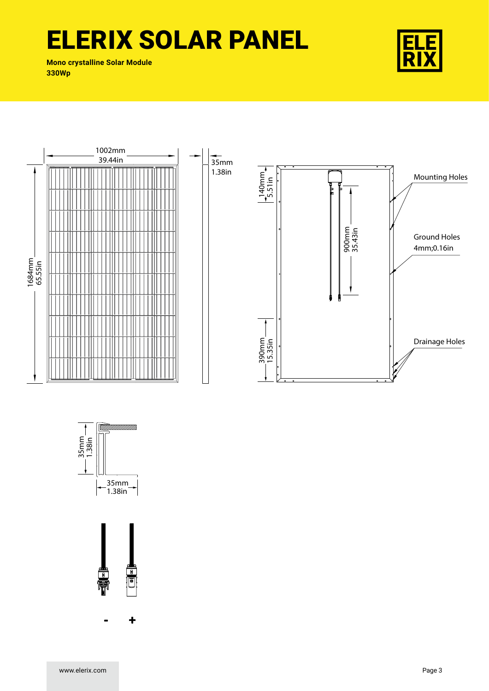**Mono crystalline Solar Module 330Wp**







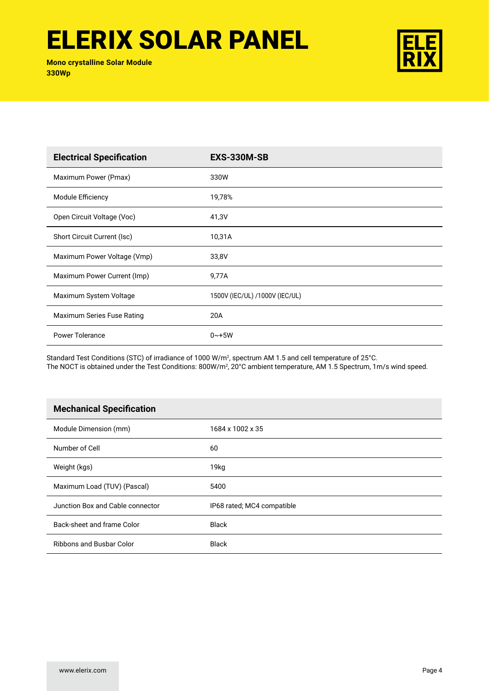**Mono crystalline Solar Module 330Wp**



| <b>Electrical Specification</b> | <b>EXS-330M-SB</b>             |
|---------------------------------|--------------------------------|
| Maximum Power (Pmax)            | 330W                           |
| Module Efficiency               | 19,78%                         |
| Open Circuit Voltage (Voc)      | 41,3V                          |
| Short Circuit Current (Isc)     | 10,31A                         |
| Maximum Power Voltage (Vmp)     | 33,8V                          |
| Maximum Power Current (Imp)     | 9,77A                          |
| Maximum System Voltage          | 1500V (IEC/UL) /1000V (IEC/UL) |
| Maximum Series Fuse Rating      | 20A                            |
| <b>Power Tolerance</b>          | $0 - +5W$                      |

Standard Test Conditions (STC) of irradiance of 1000 W/m2 , spectrum AM 1.5 and cell temperature of 25°C. The NOCT is obtained under the Test Conditions: 800W/m², 20°C ambient temperature, AM 1.5 Spectrum, 1m/s wind speed.

| <b>Mechanical Specification</b>  |                            |
|----------------------------------|----------------------------|
| Module Dimension (mm)            | 1684 x 1002 x 35           |
| Number of Cell                   | 60                         |
| Weight (kgs)                     | 19kg                       |
| Maximum Load (TUV) (Pascal)      | 5400                       |
| Junction Box and Cable connector | IP68 rated; MC4 compatible |
| Back-sheet and frame Color       | <b>Black</b>               |
| <b>Ribbons and Busbar Color</b>  | <b>Black</b>               |